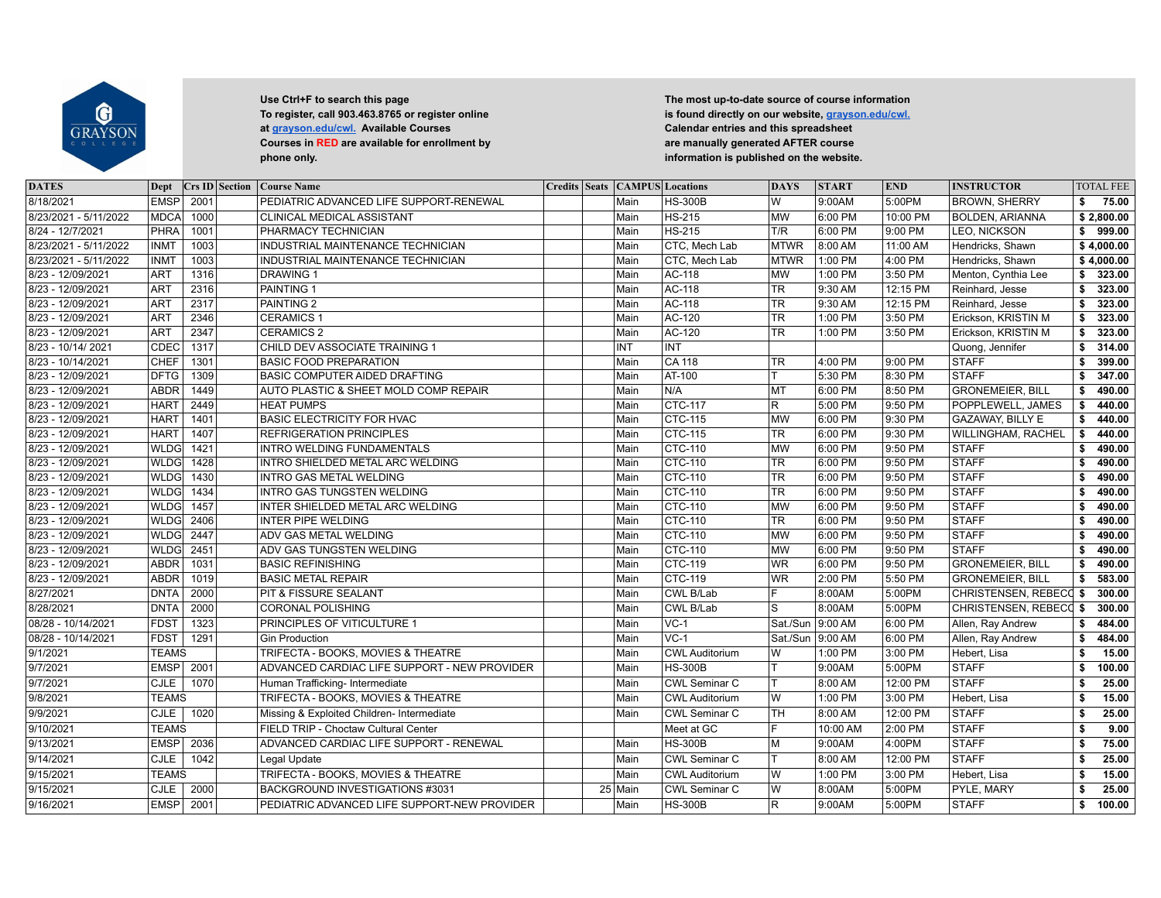

| <b>DATES</b>          | Dept         |      | Crs ID Section | <b>Course Name</b>                           |  | <b>Credits Seats CAMPUS Locations</b> |                       | <b>DAYS</b>            | <b>START</b>         | <b>END</b> | <b>INSTRUCTOR</b>             |    | <b>TOTAL FEE</b> |
|-----------------------|--------------|------|----------------|----------------------------------------------|--|---------------------------------------|-----------------------|------------------------|----------------------|------------|-------------------------------|----|------------------|
| 8/18/2021             | EMSP         | 2001 |                | PEDIATRIC ADVANCED LIFE SUPPORT-RENEWAL      |  | Main                                  | <b>HS-300B</b>        | W                      | 9:00AM               | 5:00PM     | <b>BROWN, SHERRY</b>          | \$ | 75.00            |
| 8/23/2021 - 5/11/2022 | <b>MDCA</b>  | 1000 |                | CLINICAL MEDICAL ASSISTANT                   |  | Main                                  | <b>HS-215</b>         | <b>MW</b>              | 6:00 PM              | 10:00 PM   | <b>BOLDEN, ARIANNA</b>        |    | \$2,800.00       |
| 8/24 - 12/7/2021      | PHRA         | 1001 |                | PHARMACY TECHNICIAN                          |  | Main                                  | <b>HS-215</b>         | T/R                    | 6:00 PM              | 9:00 PM    | LEO, NICKSON                  | \$ | 999.00           |
| 8/23/2021 - 5/11/2022 | <b>INMT</b>  | 1003 |                | INDUSTRIAL MAINTENANCE TECHNICIAN            |  | Main                                  | CTC, Mech Lab         | <b>MTWR</b>            | 8:00 AM              | 11:00 AM   | Hendricks, Shawn              |    | \$4,000.00       |
| 8/23/2021 - 5/11/2022 | <b>INMT</b>  | 1003 |                | INDUSTRIAL MAINTENANCE TECHNICIAN            |  | Main                                  | CTC, Mech Lab         | MTWR                   | 1:00 PM              | 4:00 PM    | Hendricks, Shawn              |    | \$4,000.00       |
| 8/23 - 12/09/2021     | <b>ART</b>   | 1316 |                | <b>DRAWING 1</b>                             |  | Main                                  | AC-118                | <b>MW</b>              | 1:00 PM              | 3:50 PM    | Menton, Cynthia Lee           | \$ | 323.00           |
| 8/23 - 12/09/2021     | ART          | 2316 |                | PAINTING 1                                   |  | Main                                  | AC-118                | <b>TR</b>              | 9:30 AM              | 12:15 PM   | Reinhard, Jesse               | \$ | 323.00           |
| 8/23 - 12/09/2021     | <b>ART</b>   | 2317 |                | PAINTING <sub>2</sub>                        |  | Main                                  | <b>AC-118</b>         | $\overline{\text{TR}}$ | 9:30 AM              | 12:15 PM   | Reinhard, Jesse               | \$ | 323.00           |
| 8/23 - 12/09/2021     | <b>ART</b>   | 2346 |                | <b>CERAMICS 1</b>                            |  | Main                                  | AC-120                | <b>TR</b>              | 1:00 PM              | 3:50 PM    | Erickson, KRISTIN M           | \$ | 323.00           |
| 8/23 - 12/09/2021     | <b>ART</b>   | 2347 |                | <b>CERAMICS 2</b>                            |  | Main                                  | <b>AC-120</b>         | <b>TR</b>              | 1:00 PM              | 3:50 PM    | Erickson, KRISTIN M           | s. | 323.00           |
| 8/23 - 10/14/2021     | CDEC         | 1317 |                | CHILD DEV ASSOCIATE TRAINING 1               |  | INT                                   | <b>INT</b>            |                        |                      |            | Quong, Jennifer               | \$ | 314.00           |
| 8/23 - 10/14/2021     | <b>CHEF</b>  | 1301 |                | <b>BASIC FOOD PREPARATION</b>                |  | Main                                  | CA 118                | $\overline{\text{TR}}$ | $4:00 \overline{PM}$ | 9:00 PM    | <b>STAFF</b>                  | \$ | 399.00           |
| 8/23 - 12/09/2021     | <b>DFTG</b>  | 1309 |                | BASIC COMPUTER AIDED DRAFTING                |  | Main                                  | <b>AT-100</b>         | т                      | 5:30 PM              | 8:30 PM    | <b>STAFF</b>                  | \$ | 347.00           |
| 8/23 - 12/09/2021     | <b>ABDR</b>  | 1449 |                | AUTO PLASTIC & SHEET MOLD COMP REPAIR        |  | Main                                  | N/A                   | MT                     | 6:00 PM              | 8:50 PM    | <b>GRONEMEIER, BILL</b>       | \$ | 490.00           |
| 8/23 - 12/09/2021     | <b>HART</b>  | 2449 |                | <b>HEAT PUMPS</b>                            |  | Main                                  | <b>CTC-117</b>        | R.                     | 5:00 PM              | 9:50 PM    | POPPLEWELL, JAMES             | s. | 440.00           |
| 8/23 - 12/09/2021     | <b>HART</b>  | 1401 |                | <b>BASIC ELECTRICITY FOR HVAC</b>            |  | Main                                  | <b>CTC-115</b>        | <b>MW</b>              | 6:00 PM              | 9:30 PM    | <b>GAZAWAY, BILLY E</b>       | \$ | 440.00           |
| 8/23 - 12/09/2021     | <b>HART</b>  | 1407 |                | <b>REFRIGERATION PRINCIPLES</b>              |  | Main                                  | <b>CTC-115</b>        | <b>TR</b>              | 6:00 PM              | 9:30 PM    | <b>WILLINGHAM, RACHEL</b>     | \$ | 440.00           |
| 8/23 - 12/09/2021     | WLDG         | 1421 |                | INTRO WELDING FUNDAMENTALS                   |  | Main                                  | <b>CTC-110</b>        | <b>MW</b>              | 6:00 PM              | 9:50 PM    | <b>STAFF</b>                  | \$ | 490.00           |
| 8/23 - 12/09/2021     | <b>WLDG</b>  | 1428 |                | INTRO SHIELDED METAL ARC WELDING             |  | Main                                  | <b>CTC-110</b>        | <b>TR</b>              | 6:00 PM              | 9:50 PM    | <b>STAFF</b>                  | \$ | 490.00           |
| 8/23 - 12/09/2021     | <b>WLDG</b>  | 1430 |                | <b>INTRO GAS METAL WELDING</b>               |  | Main                                  | <b>CTC-110</b>        | <b>TR</b>              | 6:00 PM              | 9:50 PM    | STAFF                         | Ŝ. | 490.00           |
| 8/23 - 12/09/2021     | WLDG         | 1434 |                | <b>INTRO GAS TUNGSTEN WELDING</b>            |  | Main                                  | <b>CTC-110</b>        | <b>TR</b>              | 6:00 PM              | 9:50 PM    | <b>STAFF</b>                  | \$ | 490.00           |
| 8/23 - 12/09/2021     | <b>WLDG</b>  | 1457 |                | INTER SHIELDED METAL ARC WELDING             |  | Main                                  | <b>CTC-110</b>        | <b>MW</b>              | 6:00 PM              | 9:50 PM    | <b>STAFF</b>                  | \$ | 490.00           |
| 8/23 - 12/09/2021     | <b>WLDG</b>  | 2406 |                | <b>INTER PIPE WELDING</b>                    |  | Main                                  | <b>CTC-110</b>        | <b>TR</b>              | 6:00 PM              | 9:50 PM    | STAFF                         | Ŝ. | 490.00           |
| 8/23 - 12/09/2021     | <b>WLDG</b>  | 2447 |                | ADV GAS METAL WELDING                        |  | Main                                  | <b>CTC-110</b>        | <b>MW</b>              | 6:00 PM              | 9:50 PM    | <b>STAFF</b>                  | \$ | 490.00           |
| 8/23 - 12/09/2021     | <b>WLDG</b>  | 2451 |                | <b>ADV GAS TUNGSTEN WELDING</b>              |  | Main                                  | <b>CTC-110</b>        | <b>MW</b>              | 6:00 PM              | 9:50 PM    | <b>STAFF</b>                  | \$ | 490.00           |
| 8/23 - 12/09/2021     | <b>ABDR</b>  | 1031 |                | <b>BASIC REFINISHING</b>                     |  | Main                                  | <b>CTC-119</b>        | <b>WR</b>              | 6:00 PM              | 9:50 PM    | <b>GRONEMEIER, BILL</b>       | \$ | 490.00           |
| 8/23 - 12/09/2021     | ABDR         | 1019 |                | <b>BASIC METAL REPAIR</b>                    |  | Main                                  | $CTC-119$             | <b>WR</b>              | 2:00 PM              | 5:50 PM    | <b>GRONEMEIER, BILL</b>       | \$ | 583.00           |
| 8/27/2021             | DNTA         | 2000 |                | PIT & FISSURE SEALANT                        |  | Main                                  | CWL B/Lab             | F                      | 8:00AM               | 5:00PM     | <b>CHRISTENSEN, REBECC \$</b> |    | 300.00           |
| 8/28/2021             | <b>DNTA</b>  | 2000 |                | <b>CORONAL POLISHING</b>                     |  | Main                                  | CWL B/Lab             | S                      | 8:00AM               | 5:00PM     | CHRISTENSEN, REBECC \$        |    | 300.00           |
| 08/28 - 10/14/2021    | FDST         | 1323 |                | PRINCIPLES OF VITICULTURE 1                  |  | Main                                  | $VC-1$                | Sat./Sun 9:00 AM       |                      | 6:00 PM    | Allen, Ray Andrew             | \$ | 484.00           |
| 08/28 - 10/14/2021    | <b>FDST</b>  | 1291 |                | <b>Gin Production</b>                        |  | Main                                  | $VC-1$                | Sat./Sun               | 9:00 AM              | 6:00 PM    | Allen, Ray Andrew             | \$ | 484.00           |
| 9/1/2021              | <b>TEAMS</b> |      |                | TRIFECTA - BOOKS, MOVIES & THEATRE           |  | Main                                  | <b>CWL Auditorium</b> | ١w                     | 1:00 PM              | 3:00 PM    | Hebert, Lisa                  | \$ | 15.00            |
| 9/7/2021              | <b>EMSP</b>  | 2001 |                | ADVANCED CARDIAC LIFE SUPPORT - NEW PROVIDER |  | Main                                  | <b>HS-300B</b>        | <b>T</b>               | 9:00AM               | 5:00PM     | <b>STAFF</b>                  | Ŝ. | 100.00           |
| 9/7/2021              | <b>CJLE</b>  | 1070 |                | Human Trafficking- Intermediate              |  | Main                                  | <b>CWL Seminar C</b>  | lT.                    | 8:00 AM              | 12:00 PM   | STAFF                         | \$ | 25.00            |
| 9/8/2021              | <b>TEAMS</b> |      |                | TRIFECTA - BOOKS, MOVIES & THEATRE           |  | Main                                  | <b>CWL Auditorium</b> | W                      | 1:00 PM              | 3:00 PM    | Hebert, Lisa                  | \$ | 15.00            |
| 9/9/2021              | CJLE         | 1020 |                | Missing & Exploited Children- Intermediate   |  | Main                                  | <b>CWL Seminar C</b>  | тн                     | 8:00 AM              | 12:00 PM   | <b>STAFF</b>                  | \$ | 25.00            |
| 9/10/2021             | <b>TEAMS</b> |      |                | FIELD TRIP - Choctaw Cultural Center         |  |                                       | Meet at GC            | $\overline{F}$         | 10:00 AM             | 2:00 PM    | STAFF                         | \$ | 9.00             |
| 9/13/2021             | <b>EMSP</b>  | 2036 |                | ADVANCED CARDIAC LIFE SUPPORT - RENEWAL      |  | Main                                  | <b>HS-300B</b>        | lм                     | 9:00AM               | 4:00PM     | <b>STAFF</b>                  | \$ | 75.00            |
| 9/14/2021             | CJLE         | 1042 |                | Legal Update                                 |  | Main                                  | <b>CWL Seminar C</b>  | lT.                    | 8:00 AM              | 12:00 PM   | <b>STAFF</b>                  | \$ | 25.00            |
| 9/15/2021             | <b>TEAMS</b> |      |                | TRIFECTA - BOOKS, MOVIES & THEATRE           |  | Main                                  | <b>CWL Auditorium</b> | lw                     | 1:00 PM              | 3:00 PM    | Hebert, Lisa                  | \$ | 15.00            |
| 9/15/2021             | CJLE         | 2000 |                | BACKGROUND INVESTIGATIONS #3031              |  | 25 Main                               | <b>CWL Seminar C</b>  | lw                     | 8:00AM               | 5:00PM     | PYLE, MARY                    | \$ | 25.00            |
|                       |              |      |                |                                              |  |                                       |                       |                        |                      |            |                               |    |                  |
| 9/16/2021             | <b>EMSP</b>  | 2001 |                | PEDIATRIC ADVANCED LIFE SUPPORT-NEW PROVIDER |  | Main                                  | <b>HS-300B</b>        | $\mathsf R$            | 9:00AM               | 5:00PM     | <b>STAFF</b>                  | \$ | 100.00           |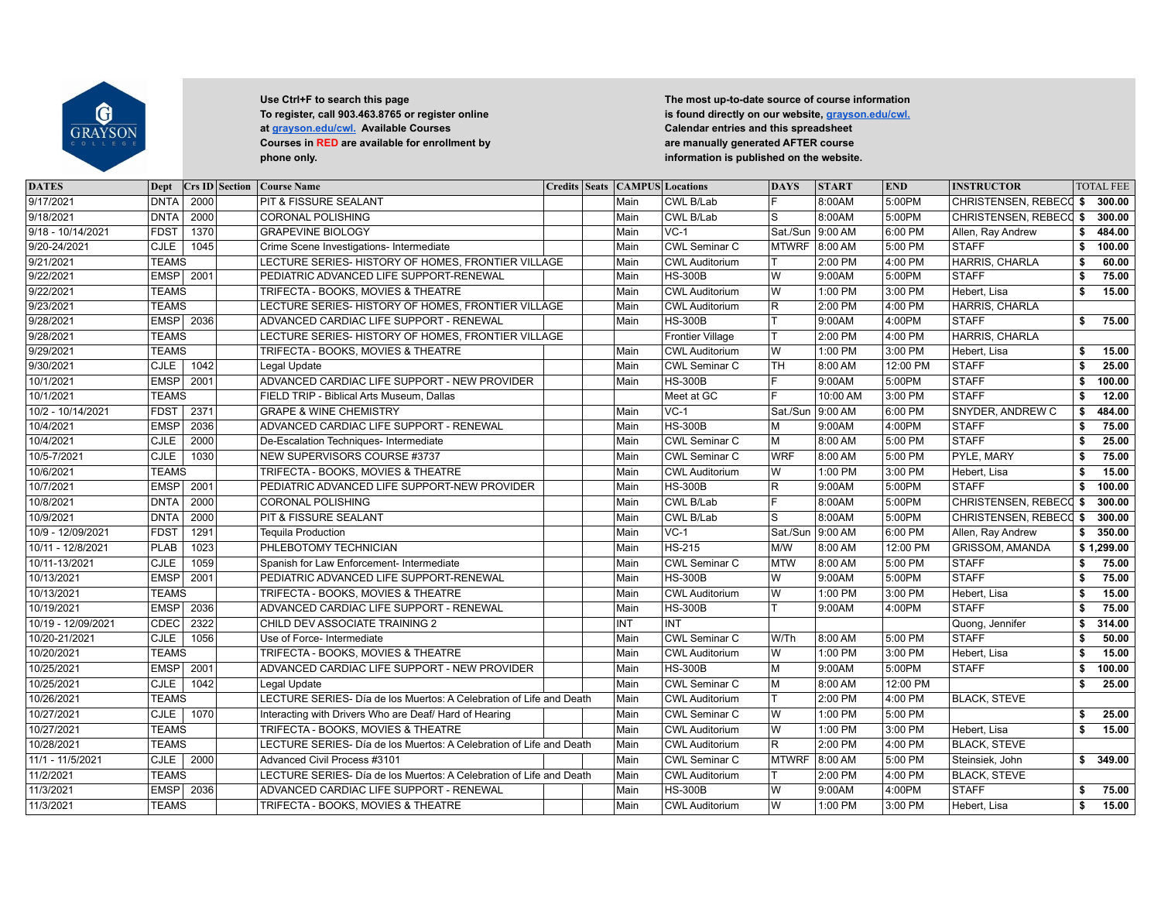

| <b>DATES</b>       | Dept         |      | <b>Crs ID Section</b> | <b>Course Name</b>                                                  |  | <b>Credits Seats CAMPUS Locations</b> |                       | <b>DAYS</b>        | <b>START</b> | <b>END</b> | <b>INSTRUCTOR</b>             |    | <b>TOTAL FEE</b> |
|--------------------|--------------|------|-----------------------|---------------------------------------------------------------------|--|---------------------------------------|-----------------------|--------------------|--------------|------------|-------------------------------|----|------------------|
| 9/17/2021          | DNTA         | 2000 |                       | PIT & FISSURE SEALANT                                               |  | Main                                  | CWL B/Lab             | F                  | 8:00AM       | 5:00PM     | <b>CHRISTENSEN, REBECC \$</b> |    | 300.00           |
| 9/18/2021          | <b>DNTA</b>  | 2000 |                       | <b>CORONAL POLISHING</b>                                            |  | Main                                  | CWL B/Lab             | S                  | 8:00AM       | 5:00PM     | CHRISTENSEN, REBECC \$        |    | 300.00           |
| 9/18 - 10/14/2021  | <b>FDST</b>  | 1370 |                       | <b>GRAPEVINE BIOLOGY</b>                                            |  | Main                                  | $VC-1$                | Sat./Sun   9:00 AM |              | 6:00 PM    | Allen, Ray Andrew             | \$ | 484.00           |
| 9/20-24/2021       | CJLE         | 1045 |                       | Crime Scene Investigations- Intermediate                            |  | Main                                  | <b>CWL Seminar C</b>  | <b>MTWRF</b>       | 8:00 AM      | 5:00 PM    | <b>STAFF</b>                  | \$ | 100.00           |
| 9/21/2021          | <b>TEAMS</b> |      |                       | LECTURE SERIES- HISTORY OF HOMES, FRONTIER VILLAGE                  |  | Main                                  | <b>CWL Auditorium</b> | lT.                | 2:00 PM      | 4:00 PM    | HARRIS, CHARLA                | s. | 60.00            |
| 9/22/2021          | <b>EMSP</b>  | 2001 |                       | PEDIATRIC ADVANCED LIFE SUPPORT-RENEWAL                             |  | Main                                  | <b>HS-300B</b>        | lw                 | 9:00AM       | 5:00PM     | <b>STAFF</b>                  | \$ | 75.00            |
| 9/22/2021          | <b>TEAMS</b> |      |                       | TRIFECTA - BOOKS, MOVIES & THEATRE                                  |  | Main                                  | <b>CWL Auditorium</b> | W                  | 1:00 PM      | 3:00 PM    | Hebert, Lisa                  | \$ | 15.00            |
| 9/23/2021          | <b>TEAMS</b> |      |                       | LECTURE SERIES- HISTORY OF HOMES, FRONTIER VILLAGE                  |  | Main                                  | <b>CWL Auditorium</b> | R.                 | 2:00 PM      | 4:00 PM    | HARRIS, CHARLA                |    |                  |
| 9/28/2021          | <b>EMSP</b>  | 2036 |                       | ADVANCED CARDIAC LIFE SUPPORT - RENEWAL                             |  | Main                                  | <b>HS-300B</b>        | $\top$             | 9:00AM       | 4:00PM     | <b>STAFF</b>                  | \$ | 75.00            |
| 9/28/2021          | <b>TEAMS</b> |      |                       | LECTURE SERIES- HISTORY OF HOMES, FRONTIER VILLAGE                  |  |                                       | Frontier Village      | ΙT                 | 2:00 PM      | 4:00 PM    | HARRIS, CHARLA                |    |                  |
| 9/29/2021          | <b>TEAMS</b> |      |                       | TRIFECTA - BOOKS, MOVIES & THEATRE                                  |  | Main                                  | <b>CWL Auditorium</b> | W                  | 1:00 PM      | 3:00 PM    | Hebert, Lisa                  | \$ | 15.00            |
| 9/30/2021          | CLE          | 1042 |                       | Legal Update                                                        |  | Main                                  | <b>CWL Seminar C</b>  | <b>TH</b>          | 8:00 AM      | 12:00 PM   | <b>STAFF</b>                  | \$ | 25.00            |
| 10/1/2021          | <b>EMSP</b>  | 2001 |                       | ADVANCED CARDIAC LIFE SUPPORT - NEW PROVIDER                        |  | Main                                  | <b>HS-300B</b>        | ╔                  | 9:00AM       | 5:00PM     | STAFF                         | \$ | 100.00           |
| 10/1/2021          | <b>TEAMS</b> |      |                       | FIELD TRIP - Biblical Arts Museum, Dallas                           |  |                                       | Meet at GC            | F                  | 10:00 AM     | 3:00 PM    | <b>STAFF</b>                  | \$ | 12.00            |
| 10/2 - 10/14/2021  | <b>FDST</b>  | 2371 |                       | <b>GRAPE &amp; WINE CHEMISTRY</b>                                   |  | Main                                  | $VC-1$                | Sat./Sun           | 9:00 AM      | 6:00 PM    | SNYDER, ANDREW C              | \$ | 484.00           |
| 10/4/2021          | <b>EMSP</b>  | 2036 |                       | ADVANCED CARDIAC LIFE SUPPORT - RENEWAL                             |  | Main                                  | <b>HS-300B</b>        | M                  | 9:00AM       | 4:00PM     | <b>STAFF</b>                  | \$ | 75.00            |
| 10/4/2021          | <b>CJLE</b>  | 2000 |                       | De-Escalation Techniques- Intermediate                              |  | Main                                  | CWL Seminar C         | M                  | 8:00 AM      | 5:00 PM    | <b>STAFF</b>                  | \$ | 25.00            |
| 10/5-7/2021        | CJLE         | 1030 |                       | NEW SUPERVISORS COURSE #3737                                        |  | Main                                  | CWL Seminar C         | <b>WRF</b>         | 8:00 AM      | 5:00 PM    | <b>PYLE, MARY</b>             | s. | 75.00            |
| 10/6/2021          | <b>TEAMS</b> |      |                       | TRIFECTA - BOOKS, MOVIES & THEATRE                                  |  | Main                                  | <b>CWL Auditorium</b> | W                  | 1:00 PM      | 3:00 PM    | Hebert, Lisa                  | \$ | 15.00            |
| 10/7/2021          | <b>EMSP</b>  | 2001 |                       | PEDIATRIC ADVANCED LIFE SUPPORT-NEW PROVIDER                        |  | Main                                  | <b>HS-300B</b>        | R                  | 9:00AM       | 5:00PM     | <b>STAFF</b>                  | \$ | 100.00           |
| 10/8/2021          | DNTA         | 2000 |                       | <b>CORONAL POLISHING</b>                                            |  | Main                                  | CWL B/Lab             | ΙF                 | 8:00AM       | 5:00PM     | <b>CHRISTENSEN, REBECC \$</b> |    | 300.00           |
| 10/9/2021          | <b>DNTA</b>  | 2000 |                       | <b>PIT &amp; FISSURE SEALANT</b>                                    |  | Main                                  | CWL B/Lab             | S                  | 8:00AM       | 5:00PM     | <b>CHRISTENSEN, REBECC \$</b> |    | 300.00           |
| 10/9 - 12/09/2021  | <b>FDST</b>  | 1291 |                       | <b>Tequila Production</b>                                           |  | Main                                  | $VC-1$                | Sat./Sun 9:00 AM   |              | 6:00 PM    | Allen, Ray Andrew             | s. | 350.00           |
| 10/11 - 12/8/2021  | PLAB         | 1023 |                       | PHLEBOTOMY TECHNICIAN                                               |  | Main                                  | <b>HS-215</b>         | M/W                | 8:00 AM      | 12:00 PM   | <b>GRISSOM, AMANDA</b>        |    | \$1,299.00       |
| 10/11-13/2021      | <b>CJLE</b>  | 1059 |                       | Spanish for Law Enforcement- Intermediate                           |  | Main                                  | <b>CWL Seminar C</b>  | <b>MTW</b>         | 8:00 AM      | 5:00 PM    | <b>STAFF</b>                  | \$ | 75.00            |
| 10/13/2021         | <b>EMSP</b>  | 2001 |                       | PEDIATRIC ADVANCED LIFE SUPPORT-RENEWAL                             |  | Main                                  | <b>HS-300B</b>        | lw                 | 9:00AM       | 5:00PM     | STAFF                         | \$ | 75.00            |
| 10/13/2021         | <b>TEAMS</b> |      |                       | TRIFECTA - BOOKS, MOVIES & THEATRE                                  |  | Main                                  | <b>CWL Auditorium</b> | lw                 | 1:00 PM      | 3:00 PM    | Hebert. Lisa                  | \$ | 15.00            |
| 10/19/2021         | <b>EMSP</b>  | 2036 |                       | ADVANCED CARDIAC LIFE SUPPORT - RENEWAL                             |  | Main                                  | <b>HS-300B</b>        | lT.                | 9:00AM       | 4:00PM     | <b>STAFF</b>                  | Ŝ. | 75.00            |
| 10/19 - 12/09/2021 | <b>CDEC</b>  | 2322 |                       | CHILD DEV ASSOCIATE TRAINING 2                                      |  | <b>INT</b>                            | INT                   |                    |              |            | Quong, Jennifer               | \$ | 314.00           |
| 10/20-21/2021      | <b>CJLE</b>  | 1056 |                       | Use of Force- Intermediate                                          |  | Main                                  | <b>CWL Seminar C</b>  | W/Th               | 8:00 AM      | 5:00 PM    | <b>STAFF</b>                  | \$ | 50.00            |
| 10/20/2021         | <b>TEAMS</b> |      |                       | TRIFECTA - BOOKS, MOVIES & THEATRE                                  |  | Main                                  | <b>CWL Auditorium</b> | W                  | 1:00 PM      | 3:00 PM    | Hebert. Lisa                  | \$ | 15.00            |
| 10/25/2021         | <b>EMSP</b>  | 2001 |                       | ADVANCED CARDIAC LIFE SUPPORT - NEW PROVIDER                        |  | Main                                  | <b>HS-300B</b>        | ĪМ                 | 9:00AM       | 5:00PM     | <b>STAFF</b>                  | Ŝ. | 100.00           |
| 10/25/2021         | CJLE         | 1042 |                       | Legal Update                                                        |  | Main                                  | <b>CWL Seminar C</b>  | lм                 | 8:00 AM      | 12:00 PM   |                               | \$ | 25.00            |
| 10/26/2021         | <b>TEAMS</b> |      |                       | LECTURE SERIES- Día de los Muertos: A Celebration of Life and Death |  | Main                                  | <b>CWL Auditorium</b> | lτ                 | $2:00$ PM    | 4:00 PM    | <b>BLACK, STEVE</b>           |    |                  |
| 10/27/2021         | CJLE         | 1070 |                       | Interacting with Drivers Who are Deaf/ Hard of Hearing              |  | Main                                  | <b>CWL Seminar C</b>  | lw                 | 1:00 PM      | 5:00 PM    |                               | \$ | 25.00            |
| 10/27/2021         | <b>TEAMS</b> |      |                       | TRIFECTA - BOOKS, MOVIES & THEATRE                                  |  | Main                                  | <b>CWL Auditorium</b> | W                  | 1:00 PM      | 3:00 PM    | Hebert, Lisa                  | s. | 15.00            |
| 10/28/2021         | <b>TEAMS</b> |      |                       | LECTURE SERIES- Día de los Muertos: A Celebration of Life and Death |  | Main                                  | <b>CWL Auditorium</b> | $\overline{R}$     | 2:00 PM      | 4:00 PM    | <b>BLACK, STEVE</b>           |    |                  |
| 11/1 - 11/5/2021   | <b>CJLE</b>  | 2000 |                       | Advanced Civil Process #3101                                        |  | Main                                  | <b>CWL Seminar C</b>  | <b>MTWRF</b>       | 8:00 AM      | 5:00 PM    | Steinsiek, John               | s. | 349.00           |
| 11/2/2021          | <b>TEAMS</b> |      |                       | LECTURE SERIES- Día de los Muertos: A Celebration of Life and Death |  | Main                                  | <b>CWL Auditorium</b> | lT.                | 2:00 PM      | 4:00 PM    | <b>BLACK, STEVE</b>           |    |                  |
| 11/3/2021          | <b>EMSP</b>  | 2036 |                       | ADVANCED CARDIAC LIFE SUPPORT - RENEWAL                             |  | Main                                  | <b>HS-300B</b>        | lw                 | 9:00AM       | 4:00PM     | <b>STAFF</b>                  | \$ | 75.00            |
| 11/3/2021          | <b>TEAMS</b> |      |                       | TRIFECTA - BOOKS, MOVIES & THEATRE                                  |  | Main                                  | <b>CWL Auditorium</b> | lw                 | 1:00 PM      | 3:00 PM    | Hebert, Lisa                  | \$ | 15.00            |
|                    |              |      |                       |                                                                     |  |                                       |                       |                    |              |            |                               |    |                  |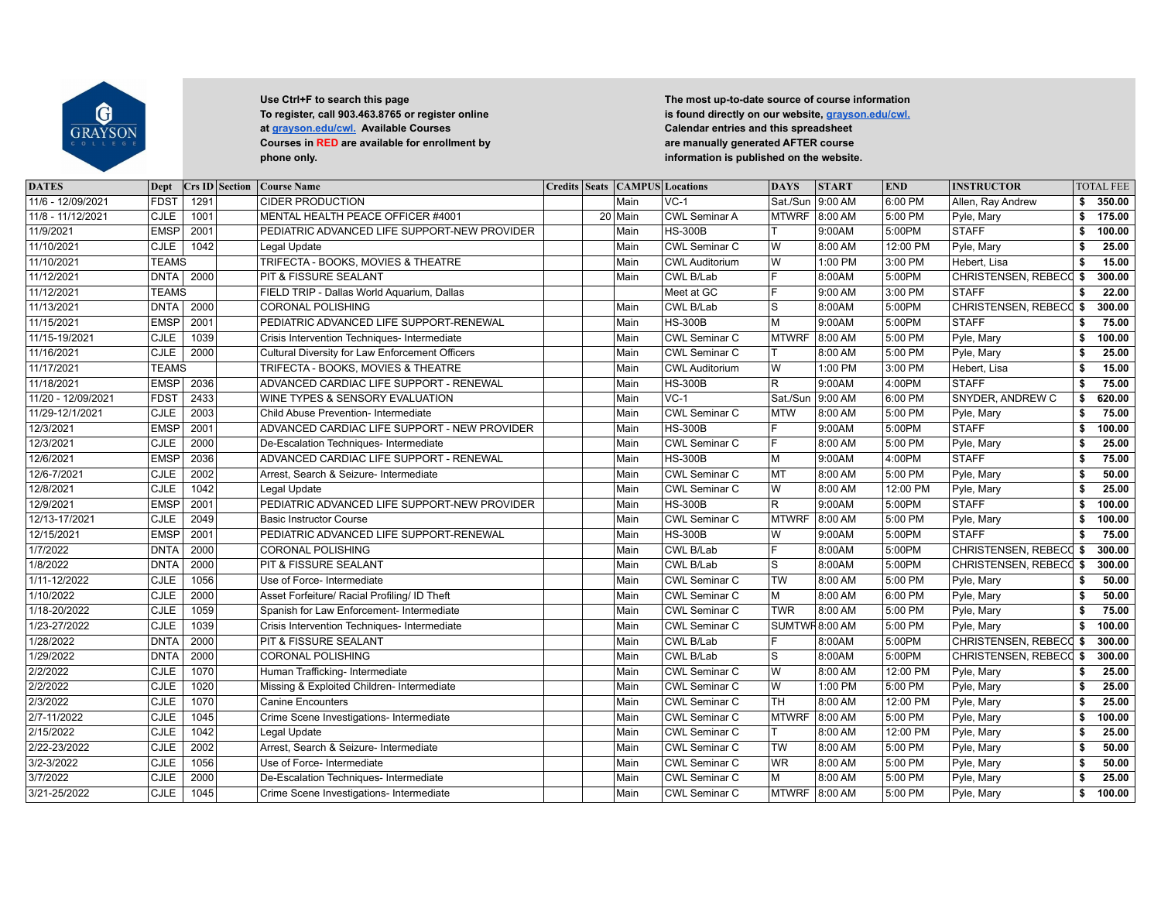

| <b>DATES</b>       | Dept         | $Crs$ ID Section | <b>Course Name</b>                              |  | <b>Credits Seats CAMPUS Locations</b> |                       | <b>DAYS</b>     | <b>START</b> | <b>END</b> | <b>INSTRUCTOR</b>             |     | <b>TOTAL FEE</b> |
|--------------------|--------------|------------------|-------------------------------------------------|--|---------------------------------------|-----------------------|-----------------|--------------|------------|-------------------------------|-----|------------------|
| 11/6 - 12/09/2021  | <b>FDST</b>  | 1291             | <b>CIDER PRODUCTION</b>                         |  | Main                                  | $VC-1$                | Sat./Sun        | 9:00 AM      | 6:00 PM    | Allen, Ray Andrew             | \$  | 350.00           |
| 11/8 - 11/12/2021  | CJLE         | 1001             | MENTAL HEALTH PEACE OFFICER #4001               |  | 20 Main                               | <b>CWL Seminar A</b>  | <b>MTWRF</b>    | 8:00 AM      | 5:00 PM    | Pyle, Mary                    | \$  | 175.00           |
| 11/9/2021          | <b>EMSP</b>  | 2001             | PEDIATRIC ADVANCED LIFE SUPPORT-NEW PROVIDER    |  | Main                                  | <b>HS-300B</b>        |                 | 9:00AM       | 5:00PM     | <b>STAFF</b>                  | Ŝ.  | 100.00           |
| 11/10/2021         | <b>CJLE</b>  | 1042             | Legal Update                                    |  | Main                                  | <b>CWL Seminar C</b>  | lw              | 8:00 AM      | 12:00 PM   | Pyle, Mary                    | \$  | 25.00            |
| 11/10/2021         | <b>TEAMS</b> |                  | TRIFECTA - BOOKS, MOVIES & THEATRE              |  | Main                                  | <b>CWL Auditorium</b> | lw              | 1:00 PM      | 3:00 PM    | Hebert, Lisa                  | \$  | 15.00            |
| 11/12/2021         | <b>DNTA</b>  | 2000             | PIT & FISSURE SEALANT                           |  | Main                                  | CWL B/Lab             | F               | 8:00AM       | 5:00PM     | <b>CHRISTENSEN, REBECC</b>    | -\$ | 300.00           |
| 11/12/2021         | <b>TEAMS</b> |                  | FIELD TRIP - Dallas World Aquarium, Dallas      |  |                                       | Meet at GC            | ΙF              | 9:00 AM      | 3:00 PM    | <b>STAFF</b>                  | \$  | 22.00            |
| 11/13/2021         | <b>DNTA</b>  | 2000             | <b>CORONAL POLISHING</b>                        |  | Main                                  | CWL B/Lab             | ls              | 8:00AM       | 5:00PM     | CHRISTENSEN, REBECC \$        |     | 300.00           |
| 11/15/2021         | <b>EMSP</b>  | 2001             | PEDIATRIC ADVANCED LIFE SUPPORT-RENEWAL         |  | Main                                  | <b>HS-300B</b>        | M               | 9:00AM       | 5:00PM     | <b>STAFF</b>                  | \$  | 75.00            |
| 11/15-19/2021      | CJLE         | 1039             | Crisis Intervention Techniques- Intermediate    |  | Main                                  | <b>CWL Seminar C</b>  | <b>MTWRF</b>    | 8:00 AM      | 5:00 PM    | Pyle, Mary                    | \$  | 100.00           |
| 11/16/2021         | CJLE         | 2000             | Cultural Diversity for Law Enforcement Officers |  | Main                                  | <b>CWL Seminar C</b>  | lT.             | 8:00 AM      | 5:00 PM    | Pyle, Mary                    | \$  | 25.00            |
| 11/17/2021         | <b>TEAMS</b> |                  | TRIFECTA - BOOKS, MOVIES & THEATRE              |  | Main                                  | <b>CWL Auditorium</b> | lw              | 1:00 PM      | 3:00 PM    | Hebert, Lisa                  | \$  | 15.00            |
| 11/18/2021         | <b>EMSP</b>  | 2036             | ADVANCED CARDIAC LIFE SUPPORT - RENEWAL         |  | Main                                  | <b>HS-300B</b>        | lr.             | 9:00AM       | 4:00PM     | STAFF                         | \$  | 75.00            |
| 11/20 - 12/09/2021 | <b>FDST</b>  | 2433             | WINE TYPES & SENSORY EVALUATION                 |  | Main                                  | $VC-1$                | Sat./Sun        | 9:00 AM      | 6:00 PM    | SNYDER, ANDREW C              | \$  | 620.00           |
| 11/29-12/1/2021    | <b>CJLE</b>  | 2003             | Child Abuse Prevention- Intermediate            |  | Main                                  | <b>CWL Seminar C</b>  | MTW             | 8:00 AM      | 5:00 PM    | Pyle, Mary                    | \$  | 75.00            |
| 12/3/2021          | <b>EMSP</b>  | 2001             | ADVANCED CARDIAC LIFE SUPPORT - NEW PROVIDER    |  | Main                                  | <b>HS-300B</b>        | l F             | 9:00AM       | 5:00PM     | <b>STAFF</b>                  | \$  | 100.00           |
| 12/3/2021          | <b>CJLE</b>  | 2000             | De-Escalation Techniques- Intermediate          |  | Main                                  | <b>CWL Seminar C</b>  | F               | 8:00 AM      | 5:00 PM    | Pyle, Mary                    | \$  | 25.00            |
| 12/6/2021          | <b>EMSP</b>  | 2036             | ADVANCED CARDIAC LIFE SUPPORT - RENEWAL         |  | Main                                  | <b>HS-300B</b>        | lм              | 9:00AM       | 4:00PM     | <b>STAFF</b>                  | \$  | 75.00            |
| 12/6-7/2021        | CJLE         | 2002             | Arrest, Search & Seizure- Intermediate          |  | Main                                  | <b>CWL Seminar C</b>  | MT              | 8:00 AM      | 5:00 PM    | Pyle, Mary                    | Ŝ.  | 50.00            |
| 12/8/2021          | <b>CJLE</b>  | $\frac{1042}{ }$ | Legal Update                                    |  | Main                                  | CWL Seminar C         | lw              | 8:00 AM      | 12:00 PM   | Pyle, Mary                    | \$  | 25.00            |
| 12/9/2021          | <b>EMSP</b>  | 2001             | PEDIATRIC ADVANCED LIFE SUPPORT-NEW PROVIDER    |  | Main                                  | <b>HS-300B</b>        | ΙR              | 9:00AM       | 5:00PM     | <b>STAFF</b>                  | Ŝ.  | 100.00           |
| 12/13-17/2021      | CJLE         | 2049             | <b>Basic Instructor Course</b>                  |  | Main                                  | <b>CWL Seminar C</b>  | <b>MTWRF</b>    | 8:00 AM      | 5:00 PM    | Pyle, Mary                    | \$  | 100.00           |
| 12/15/2021         | <b>EMSP</b>  | 2001             | PEDIATRIC ADVANCED LIFE SUPPORT-RENEWAL         |  | Main                                  | <b>HS-300B</b>        | lw              | 9:00AM       | 5:00PM     | <b>STAFF</b>                  | \$  | 75.00            |
| 1/7/2022           | <b>DNTA</b>  | 2000             | <b>CORONAL POLISHING</b>                        |  | Main                                  | CWL B/Lab             | ΙF              | 8:00AM       | 5:00PM     | CHRISTENSEN, REBECC \$        |     | 300.00           |
| 1/8/2022           | <b>DNTA</b>  | 2000             | PIT & FISSURE SEALANT                           |  | Main                                  | CWL B/Lab             | ls.             | 8:00AM       | 5:00PM     | CHRISTENSEN, REBECC \$        |     | 300.00           |
| 1/11-12/2022       | <b>CJLE</b>  | 1056             | Use of Force- Intermediate                      |  | Main                                  | <b>CWL Seminar C</b>  | $\overline{TW}$ | 8:00 AM      | 5:00 PM    | Pyle, Mary                    | \$  | 50.00            |
| 1/10/2022          | <b>CJLE</b>  | 2000             | Asset Forfeiture/ Racial Profiling/ ID Theft    |  | Main                                  | <b>CWL Seminar C</b>  | lм              | 8:00 AM      | 6:00 PM    | Pyle, Mary                    | \$  | 50.00            |
| 1/18-20/2022       | CJLE         | 1059             | Spanish for Law Enforcement- Intermediate       |  | Main                                  | <b>CWL Seminar C</b>  | <b>TWR</b>      | 8:00 AM      | 5:00 PM    | Pyle, Mary                    | \$  | 75.00            |
| 1/23-27/2022       | <b>CJLE</b>  | 1039             | Crisis Intervention Techniques- Intermediate    |  | Main                                  | <b>CWL Seminar C</b>  | SUMTWR8:00 AM   |              | 5:00 PM    | Pyle, Mary                    | \$  | 100.00           |
| 1/28/2022          | <b>DNTA</b>  | 2000             | <b>PIT &amp; FISSURE SEALANT</b>                |  | Main                                  | CWL B/Lab             | lF.             | 8:00AM       | 5:00PM     | CHRISTENSEN, REBECC \$        |     | 300.00           |
| 1/29/2022          | DNTA         | 2000             | <b>CORONAL POLISHING</b>                        |  | Main                                  | CWL B/Lab             | ls.             | 8:00AM       | 5:00PM     | <b>CHRISTENSEN, REBECC \$</b> |     | 300.00           |
| 2/2/2022           | <b>CJLE</b>  | 1070             | Human Trafficking- Intermediate                 |  | Main                                  | <b>CWL Seminar C</b>  | lw              | 8:00 AM      | 12:00 PM   | Pyle, Mary                    | \$  | 25.00            |
| 2/2/2022           | <b>CJLE</b>  | 1020             | Missing & Exploited Children- Intermediate      |  | Main                                  | <b>CWL Seminar C</b>  | l W             | 1:00 PM      | 5:00 PM    | Pyle, Mary                    | \$  | 25.00            |
| 2/3/2022           | CJLE         | 1070             | <b>Canine Encounters</b>                        |  | Main                                  | <b>CWL Seminar C</b>  | <b>TH</b>       | 8:00 AM      | 12:00 PM   | Pyle, Mary                    | \$  | 25.00            |
| 2/7-11/2022        | <b>CJLE</b>  | 1045             | Crime Scene Investigations- Intermediate        |  | Main                                  | <b>CWL Seminar C</b>  | <b>MTWRF</b>    | 8:00 AM      | 5:00 PM    | Pyle, Mary                    | Ŝ.  | 100.00           |
| 2/15/2022          | CJLE         | 1042             | Legal Update                                    |  | Main                                  | <b>CWL Seminar C</b>  | $\mathsf{T}$    | 8:00 AM      | 12:00 PM   | Pyle, Mary                    | \$  | 25.00            |
| 2/22-23/2022       | CJLE         | 2002             | Arrest, Search & Seizure- Intermediate          |  | Main                                  | <b>CWL Seminar C</b>  | <b>TW</b>       | 8:00 AM      | 5:00 PM    | Pyle, Mary                    | Ŝ.  | 50.00            |
| 3/2-3/2022         | <b>CJLE</b>  | 1056             | Use of Force- Intermediate                      |  | Main                                  | <b>CWL Seminar C</b>  | <b>WR</b>       | 8:00 AM      | 5:00 PM    | Pyle, Mary                    | \$  | 50.00            |
| 3/7/2022           | <b>CJLE</b>  | 2000             | De-Escalation Techniques- Intermediate          |  | Main                                  | CWL Seminar C         | lм              | 8:00 AM      | 5:00 PM    | Pyle, Mary                    | \$  | 25.00            |
| 3/21-25/2022       | <b>CJLE</b>  | 1045             | Crime Scene Investigations- Intermediate        |  | Main                                  | <b>CWL Seminar C</b>  | MTWRF 8:00 AM   |              | 5:00 PM    | Pyle, Mary                    | \$  | 100.00           |